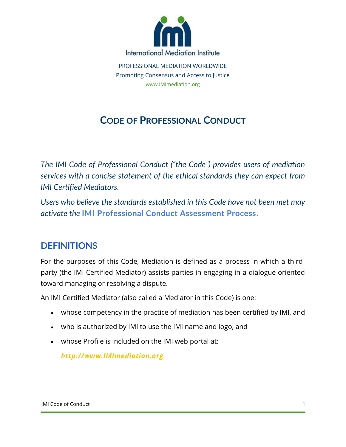

PROFESSIONAL MEDIATION WORLDWIDE Promoting Consensus and Access to Justice www.IMImediation.org

# **CODE OF PROFESSIONAL CONDUCT**

*The IMI Code of Professional Conduct ("the Code") provides users of mediation services with a concise statement of the ethical standards they can expect from IMI Certified Mediators.*

*Users who believe the standards established in this Code have not been met may activate the* **[IMI Professional Conduct Assessment Process.](https://www.imimediation.org/practitioners/professional-conduct-assessment-process/)**

### **DEFINITIONS**

For the purposes of this Code, Mediation is defined as a process in which a thirdparty (the IMI Certified Mediator) assists parties in engaging in a dialogue oriented toward managing or resolving a dispute.

An IMI Certified Mediator (also called a Mediator in this Code) is one:

- whose competency in the practice of mediation has been certified by IMI, and
- who is authorized by IMI to use the IMI name and logo, and
- whose Profile is included on the IMI web portal at:

*[http://www.IMImediation.org](https://www.imimediation.org/)*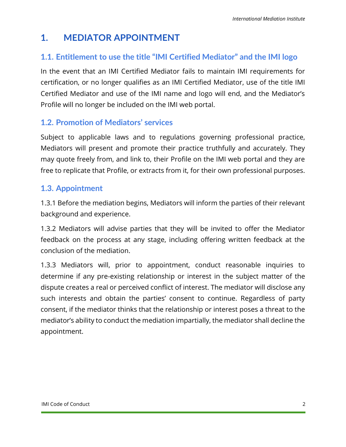## **1. MEDIATOR APPOINTMENT**

### **1.1. Entitlement to use the title "IMI Certified Mediator" and the IMI logo**

In the event that an IMI Certified Mediator fails to maintain IMI requirements for certification, or no longer qualifies as an IMI Certified Mediator, use of the title IMI Certified Mediator and use of the IMI name and logo will end, and the Mediator's Profile will no longer be included on the IMI web portal.

#### **1.2. Promotion of Mediators' services**

Subject to applicable laws and to regulations governing professional practice, Mediators will present and promote their practice truthfully and accurately. They may quote freely from, and link to, their Profile on the IMI web portal and they are free to replicate that Profile, or extracts from it, for their own professional purposes.

#### **1.3. Appointment**

1.3.1 Before the mediation begins, Mediators will inform the parties of their relevant background and experience.

1.3.2 Mediators will advise parties that they will be invited to offer the Mediator feedback on the process at any stage, including offering written feedback at the conclusion of the mediation.

1.3.3 Mediators will, prior to appointment, conduct reasonable inquiries to determine if any pre-existing relationship or interest in the subject matter of the dispute creates a real or perceived conflict of interest. The mediator will disclose any such interests and obtain the parties' consent to continue. Regardless of party consent, if the mediator thinks that the relationship or interest poses a threat to the mediator's ability to conduct the mediation impartially, the mediator shall decline the appointment.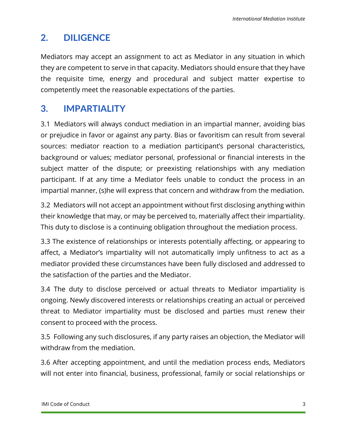# **2. DILIGENCE**

Mediators may accept an assignment to act as Mediator in any situation in which they are competent to serve in that capacity. Mediators should ensure that they have the requisite time, energy and procedural and subject matter expertise to competently meet the reasonable expectations of the parties.

## **3. IMPARTIALITY**

3.1 Mediators will always conduct mediation in an impartial manner, avoiding bias or prejudice in favor or against any party. Bias or favoritism can result from several sources: mediator reaction to a mediation participant's personal characteristics, background or values; mediator personal, professional or financial interests in the subject matter of the dispute; or preexisting relationships with any mediation participant. If at any time a Mediator feels unable to conduct the process in an impartial manner, (s)he will express that concern and withdraw from the mediation.

3.2 Mediators will not accept an appointment without first disclosing anything within their knowledge that may, or may be perceived to, materially affect their impartiality. This duty to disclose is a continuing obligation throughout the mediation process.

3.3 The existence of relationships or interests potentially affecting, or appearing to affect, a Mediator's impartiality will not automatically imply unfitness to act as a mediator provided these circumstances have been fully disclosed and addressed to the satisfaction of the parties and the Mediator.

3.4 The duty to disclose perceived or actual threats to Mediator impartiality is ongoing. Newly discovered interests or relationships creating an actual or perceived threat to Mediator impartiality must be disclosed and parties must renew their consent to proceed with the process.

3.5 Following any such disclosures, if any party raises an objection, the Mediator will withdraw from the mediation.

3.6 After accepting appointment, and until the mediation process ends, Mediators will not enter into financial, business, professional, family or social relationships or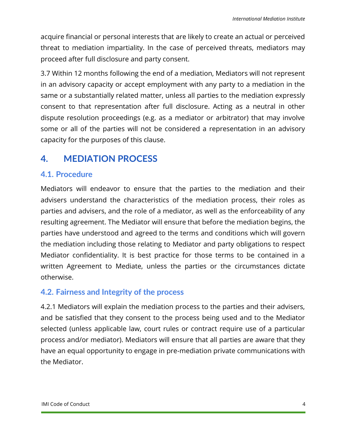acquire financial or personal interests that are likely to create an actual or perceived threat to mediation impartiality. In the case of perceived threats, mediators may proceed after full disclosure and party consent.

3.7 Within 12 months following the end of a mediation, Mediators will not represent in an advisory capacity or accept employment with any party to a mediation in the same or a substantially related matter, unless all parties to the mediation expressly consent to that representation after full disclosure. Acting as a neutral in other dispute resolution proceedings (e.g. as a mediator or arbitrator) that may involve some or all of the parties will not be considered a representation in an advisory capacity for the purposes of this clause.

### **4. MEDIATION PROCESS**

### **4.1. Procedure**

Mediators will endeavor to ensure that the parties to the mediation and their advisers understand the characteristics of the mediation process, their roles as parties and advisers, and the role of a mediator, as well as the enforceability of any resulting agreement. The Mediator will ensure that before the mediation begins, the parties have understood and agreed to the terms and conditions which will govern the mediation including those relating to Mediator and party obligations to respect Mediator confidentiality. It is best practice for those terms to be contained in a written Agreement to Mediate, unless the parties or the circumstances dictate otherwise.

### **4.2. Fairness and Integrity of the process**

4.2.1 Mediators will explain the mediation process to the parties and their advisers, and be satisfied that they consent to the process being used and to the Mediator selected (unless applicable law, court rules or contract require use of a particular process and/or mediator). Mediators will ensure that all parties are aware that they have an equal opportunity to engage in pre-mediation private communications with the Mediator.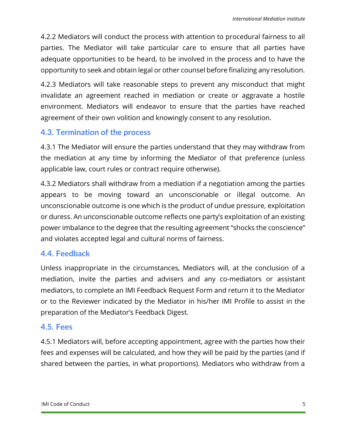4.2.2 Mediators will conduct the process with attention to procedural fairness to all parties. The Mediator will take particular care to ensure that all parties have adequate opportunities to be heard, to be involved in the process and to have the opportunity to seek and obtain legal or other counsel before finalizing any resolution.

4.2.3 Mediators will take reasonable steps to prevent any misconduct that might invalidate an agreement reached in mediation or create or aggravate a hostile environment. Mediators will endeavor to ensure that the parties have reached agreement of their own volition and knowingly consent to any resolution.

#### **4.3. Termination of the process**

4.3.1 The Mediator will ensure the parties understand that they may withdraw from the mediation at any time by informing the Mediator of that preference (unless applicable law, court rules or contract require otherwise).

4.3.2 Mediators shall withdraw from a mediation if a negotiation among the parties appears to be moving toward an unconscionable or illegal outcome. An unconscionable outcome is one which is the product of undue pressure, exploitation or duress. An unconscionable outcome reflects one party's exploitation of an existing power imbalance to the degree that the resulting agreement "shocks the conscience" and violates accepted legal and cultural norms of fairness.

### **4.4. Feedback**

Unless inappropriate in the circumstances, Mediators will, at the conclusion of a mediation, invite the parties and advisers and any co-mediators or assistant mediators, to complete an IMI Feedback Request Form and return it to the Mediator or to the Reviewer indicated by the Mediator in his/her IMI Profile to assist in the preparation of the Mediator's Feedback Digest.

#### **4.5. Fees**

4.5.1 Mediators will, before accepting appointment, agree with the parties how their fees and expenses will be calculated, and how they will be paid by the parties (and if shared between the parties, in what proportions). Mediators who withdraw from a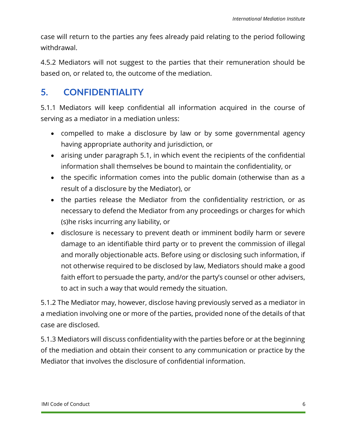case will return to the parties any fees already paid relating to the period following withdrawal.

4.5.2 Mediators will not suggest to the parties that their remuneration should be based on, or related to, the outcome of the mediation.

### **5. CONFIDENTIALITY**

5.1.1 Mediators will keep confidential all information acquired in the course of serving as a mediator in a mediation unless:

- compelled to make a disclosure by law or by some governmental agency having appropriate authority and jurisdiction, or
- arising under paragraph 5.1, in which event the recipients of the confidential information shall themselves be bound to maintain the confidentiality, or
- the specific information comes into the public domain (otherwise than as a result of a disclosure by the Mediator), or
- the parties release the Mediator from the confidentiality restriction, or as necessary to defend the Mediator from any proceedings or charges for which (s)he risks incurring any liability, or
- disclosure is necessary to prevent death or imminent bodily harm or severe damage to an identifiable third party or to prevent the commission of illegal and morally objectionable acts. Before using or disclosing such information, if not otherwise required to be disclosed by law, Mediators should make a good faith effort to persuade the party, and/or the party's counsel or other advisers, to act in such a way that would remedy the situation.

5.1.2 The Mediator may, however, disclose having previously served as a mediator in a mediation involving one or more of the parties, provided none of the details of that case are disclosed.

5.1.3 Mediators will discuss confidentiality with the parties before or at the beginning of the mediation and obtain their consent to any communication or practice by the Mediator that involves the disclosure of confidential information.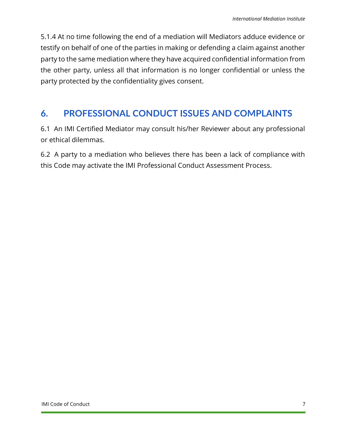5.1.4 At no time following the end of a mediation will Mediators adduce evidence or testify on behalf of one of the parties in making or defending a claim against another party to the same mediation where they have acquired confidential information from the other party, unless all that information is no longer confidential or unless the party protected by the confidentiality gives consent.

## **6. PROFESSIONAL CONDUCT ISSUES AND COMPLAINTS**

6.1 An IMI Certified Mediator may consult his/her Reviewer about any professional or ethical dilemmas.

6.2 A party to a mediation who believes there has been a lack of compliance with this Code may activate the IMI Professional Conduct Assessment Process.